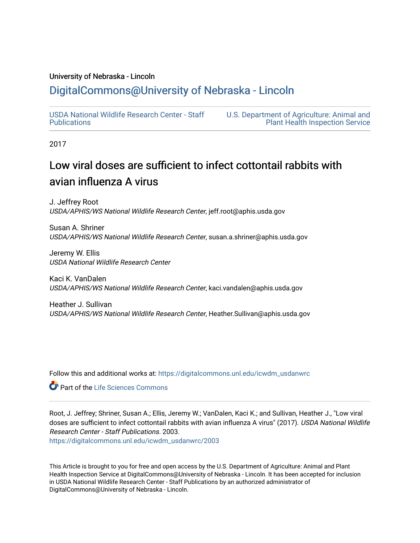## University of Nebraska - Lincoln

## [DigitalCommons@University of Nebraska - Lincoln](https://digitalcommons.unl.edu/)

[USDA National Wildlife Research Center - Staff](https://digitalcommons.unl.edu/icwdm_usdanwrc)  [Publications](https://digitalcommons.unl.edu/icwdm_usdanwrc) 

[U.S. Department of Agriculture: Animal and](https://digitalcommons.unl.edu/usdaaphis)  [Plant Health Inspection Service](https://digitalcommons.unl.edu/usdaaphis) 

2017

# Low viral doses are sufficient to infect cottontail rabbits with avian influenza A virus

J. Jeffrey Root USDA/APHIS/WS National Wildlife Research Center, jeff.root@aphis.usda.gov

Susan A. Shriner USDA/APHIS/WS National Wildlife Research Center, susan.a.shriner@aphis.usda.gov

Jeremy W. Ellis USDA National Wildlife Research Center

Kaci K. VanDalen USDA/APHIS/WS National Wildlife Research Center, kaci.vandalen@aphis.usda.gov

Heather J. Sullivan USDA/APHIS/WS National Wildlife Research Center, Heather.Sullivan@aphis.usda.gov

Follow this and additional works at: [https://digitalcommons.unl.edu/icwdm\\_usdanwrc](https://digitalcommons.unl.edu/icwdm_usdanwrc?utm_source=digitalcommons.unl.edu%2Ficwdm_usdanwrc%2F2003&utm_medium=PDF&utm_campaign=PDFCoverPages)

**C** Part of the Life Sciences Commons

Root, J. Jeffrey; Shriner, Susan A.; Ellis, Jeremy W.; VanDalen, Kaci K.; and Sullivan, Heather J., "Low viral doses are sufficient to infect cottontail rabbits with avian influenza A virus" (2017). USDA National Wildlife Research Center - Staff Publications. 2003.

[https://digitalcommons.unl.edu/icwdm\\_usdanwrc/2003](https://digitalcommons.unl.edu/icwdm_usdanwrc/2003?utm_source=digitalcommons.unl.edu%2Ficwdm_usdanwrc%2F2003&utm_medium=PDF&utm_campaign=PDFCoverPages) 

This Article is brought to you for free and open access by the U.S. Department of Agriculture: Animal and Plant Health Inspection Service at DigitalCommons@University of Nebraska - Lincoln. It has been accepted for inclusion in USDA National Wildlife Research Center - Staff Publications by an authorized administrator of DigitalCommons@University of Nebraska - Lincoln.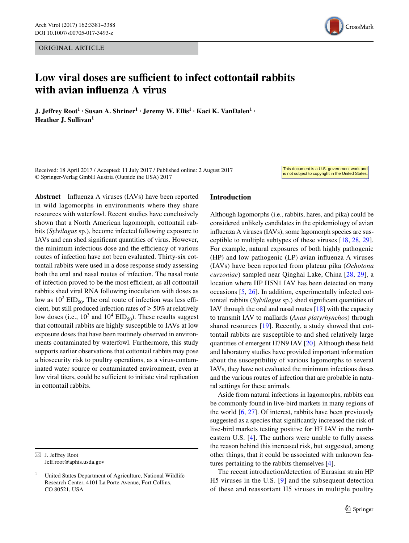ORIGINAL ARTICLE

## Low viral doses are sufficient to infect cottontail rabbits **with avian infuenza A virus**

**J. Jefrey Root<sup>1</sup> · Susan A. Shriner<sup>1</sup> · Jeremy W. Ellis1 · Kaci K. VanDalen1 · Heather J. Sullivan<sup>1</sup>**

Received: 18 April 2017 / Accepted: 11 July 2017 / Published online: 2 August 2017 © Springer-Verlag GmbH Austria (Outside the USA) 2017

**Abstract** Infuenza A viruses (IAVs) have been reported in wild lagomorphs in environments where they share resources with waterfowl. Recent studies have conclusively shown that a North American lagomorph, cottontail rabbits (*Sylvilagus* sp.), become infected following exposure to **Introduction**

Although lagomorphs (i.e., rabbits, hares, and pika) could be considered unlikely candidates in the epidemiology of avian infuenza A viruses (IAVs), some lagomorph species are susceptible to multiple subtypes of these viruses [\[18](#page-8-0), [28,](#page-8-1) [29](#page-8-2)]. For example, natural exposures of both highly pathogenic (HP) and low pathogenic (LP) avian infuenza A viruses (IAVs) have been reported from plateau pika (*Ochotona curzoniae*) sampled near Qinghai Lake, China [[28,](#page-8-1) [29\]](#page-8-2), a location where HP H5N1 IAV has been detected on many occasions [[5,](#page-7-0) [26](#page-8-3)]. In addition, experimentally infected cottontail rabbits (*Sylvilagus* sp.) shed signifcant quantities of IAV through the oral and nasal routes [[18\]](#page-8-0) with the capacity to transmit IAV to mallards (*Anas platyrhynchos*) through shared resources [[19](#page-8-4)]. Recently, a study showed that cottontail rabbits are susceptible to and shed relatively large quantities of emergent H7N9 IAV [[20\]](#page-8-5). Although these feld and laboratory studies have provided important information about the susceptibility of various lagomorphs to several IAVs, they have not evaluated the minimum infectious doses and the various routes of infection that are probable in natural settings for these animals.

Aside from natural infections in lagomorphs, rabbits can be commonly found in live-bird markets in many regions of the world [[6,](#page-7-1) [27](#page-8-6)]. Of interest, rabbits have been previously suggested as a species that signifcantly increased the risk of live-bird markets testing positive for H7 IAV in the northeastern U.S. [[4\]](#page-7-2). The authors were unable to fully assess the reason behind this increased risk, but suggested, among other things, that it could be associated with unknown features pertaining to the rabbits themselves [[4\]](#page-7-2).

The recent introduction/detection of Eurasian strain HP H5 viruses in the U.S. [[9\]](#page-7-3) and the subsequent detection of these and reassortant H5 viruses in multiple poultry

IAVs and can shed signifcant quantities of virus. However, the minimum infectious dose and the efficiency of various routes of infection have not been evaluated. Thirty-six cottontail rabbits were used in a dose response study assessing both the oral and nasal routes of infection. The nasal route of infection proved to be the most efficient, as all cottontail rabbits shed viral RNA following inoculation with doses as low as  $10^2$  EID<sub>50</sub>. The oral route of infection was less efficient, but still produced infection rates of  $\geq 50\%$  at relatively low doses (i.e.,  $10^3$  and  $10^4$  EID<sub>50</sub>). These results suggest that cottontail rabbits are highly susceptible to IAVs at low exposure doses that have been routinely observed in environments contaminated by waterfowl. Furthermore, this study supports earlier observations that cottontail rabbits may pose a biosecurity risk to poultry operations, as a virus-contaminated water source or contaminated environment, even at low viral titers, could be sufficient to initiate viral replication in cottontail rabbits.

 $\boxtimes$  J. Jeffrey Root Jef.root@aphis.usda.gov



This document is a U.S. government work and is not subject to copyright in the United Stat

<sup>1</sup> United States Department of Agriculture, National Wildlife Research Center, 4101 La Porte Avenue, Fort Collins, CO 80521, USA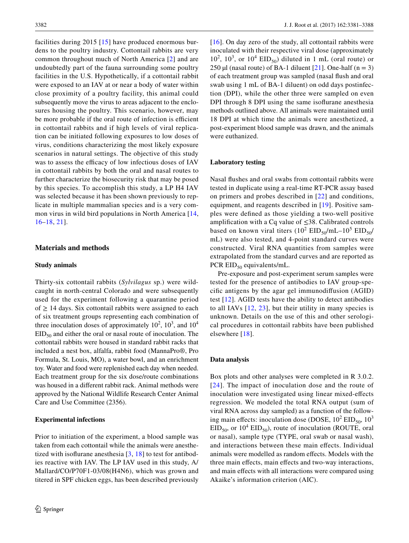facilities during 20[15](#page-7-4)  $[15]$  have produced enormous burdens to the poultry industry. Cottontail rabbits are very common throughout much of North America [[2](#page-7-5)] and are undoubtedly part of the fauna surrounding some poultry facilities in the U.S. Hypothetically, if a cottontail rabbit were exposed to an IAV at or near a body of water within close proximity of a poultry facility, this animal could subsequently move the virus to areas adjacent to the enclosures housing the poultry. This scenario, however, may be more probable if the oral route of infection is efficient in cottontail rabbits and if high levels of viral replication can be initiated following exposures to low doses of virus, conditions characterizing the most likely exposure scenarios in natural settings. The objective of this study was to assess the efficacy of low infectious doses of IAV in cottontail rabbits by both the oral and nasal routes to further characterize the biosecurity risk that may be posed by this species. To accomplish this study, a LP H4 IAV was selected because it has been shown previously to replicate in multiple mammalian species and is a very common virus in wild bird populations in North America [\[14,](#page-7-6) [16](#page-7-7)–[18](#page-8-0), [21\]](#page-8-7).

## <span id="page-2-0"></span>**Materials and methods**

#### **Study animals**

Thirty-six cottontail rabbits (*Sylvilagus* sp.) were wildcaught in north-central Colorado and were subsequently used for the experiment following a quarantine period of  $\geq$  14 days. Six cottontail rabbits were assigned to each of six treatment groups representing each combination of three inoculation doses of approximately  $10^2$ ,  $10^3$ , and  $10^4$  $EID_{50}$  and either the oral or nasal route of inoculation. The cottontail rabbits were housed in standard rabbit racks that included a nest box, alfalfa, rabbit food (MannaPro®, Pro Formula, St. Louis, MO), a water bowl, and an enrichment toy. Water and food were replenished each day when needed. Each treatment group for the six dose/route combinations was housed in a diferent rabbit rack. Animal methods were approved by the National Wildlife Research Center Animal Care and Use Committee (2356).

## **Experimental infections**

Prior to initiation of the experiment, a blood sample was taken from each cottontail while the animals were anesthetized with isofurane anesthesia [[3,](#page-7-8) [18](#page-8-0)] to test for antibodies reactive with IAV. The LP IAV used in this study, A/ Mallard/CO/P70F1-03/08(H4N6), which was grown and titered in SPF chicken eggs, has been described previously  $[16]$  $[16]$  $[16]$ . On day zero of the study, all cottontail rabbits were inoculated with their respective viral dose (approximately  $10^2$ ,  $10^3$ , or  $10^4$  EID<sub>50</sub>) diluted in 1 mL (oral route) or 250 µl (nasal route) of BA-1 diluent  $[21]$  $[21]$  $[21]$ . One-half (n = 3) of each treatment group was sampled (nasal fush and oral swab using 1 mL of BA-1 diluent) on odd days postinfection (DPI), while the other three were sampled on even DPI through 8 DPI using the same isofurane anesthesia methods outlined above. All animals were maintained until 18 DPI at which time the animals were anesthetized, a post-experiment blood sample was drawn, and the animals were euthanized.

#### **Laboratory testing**

Nasal fushes and oral swabs from cottontail rabbits were tested in duplicate using a real-time RT-PCR assay based on primers and probes described in [[22](#page-8-8)] and conditions, equipment, and reagents described in [[19\]](#page-8-4). Positive samples were defned as those yielding a two-well positive amplifcation with a Cq value of ≤38. Calibrated controls based on known viral titers  $(10^2 \text{ EID}_{50}/\text{mL} - 10^5 \text{ EID}_{50}/$ mL) were also tested, and 4-point standard curves were constructed. Viral RNA quantities from samples were extrapolated from the standard curves and are reported as PCR  $EID_{50}$  equivalents/mL.

Pre-exposure and post-experiment serum samples were tested for the presence of antibodies to IAV group-specifc antigens by the agar gel immunodifusion (AGID) test [[12](#page-7-9)]. AGID tests have the ability to detect antibodies to all IAVs [[12,](#page-7-9) [23](#page-8-9)], but their utility in many species is unknown. Details on the use of this and other serological procedures in cottontail rabbits have been published elsewhere [[18](#page-8-0)].

## **Data analysis**

Box plots and other analyses were completed in R 3.0.2. [[24\]](#page-8-10). The impact of inoculation dose and the route of inoculation were investigated using linear mixed-efects regression. We modeled the total RNA output (sum of viral RNA across day sampled) as a function of the following main effects: inoculation dose (DOSE,  $10^2$  EID<sub>50</sub>,  $10^3$  $EID_{50}$ , or  $10^4$   $EID_{50}$ ), route of inoculation (ROUTE, oral or nasal), sample type (TYPE, oral swab or nasal wash), and interactions between these main efects. Individual animals were modelled as random efects. Models with the three main efects, main efects and two-way interactions, and main efects with all interactions were compared using Akaike's information criterion (AIC).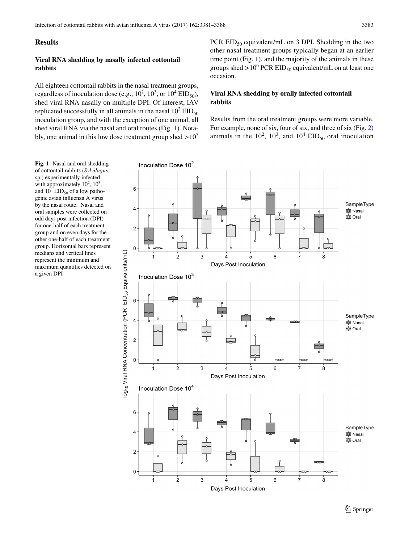## **Results**

## **Viral RNA shedding by nasally infected cottontail rabbits**

All eighteen cottontail rabbits in the nasal treatment groups, regardless of inoculation dose (e.g.,  $10^2$ ,  $10^3$ , or  $10^4$  EID<sub>50</sub>), shed viral RNA nasally on multiple DPI. Of interest, IAV replicated successfully in all animals in the nasal  $10^2$  EID<sub>50</sub> inoculation group, and with the exception of one animal, all shed viral RNA via the nasal and oral routes (Fig. [1\)](#page-3-0). Notably, one animal in this low dose treatment group shed  $>10^7$ 

<span id="page-3-0"></span>**Fig. 1** Nasal and oral shedding of cottontail rabbits (*Sylvilagus* sp.) experimentally infected with approximately  $10^2$ ,  $10^3$ , and  $10^4$  EID<sub>50</sub> of a low pathogenic avian infuenza A virus by the nasal route. Nasal and oral samples were collected on odd days post infection (DPI) for one-half of each treatment group and on even days for the other one-half of each treatment group. Horizontal bars represent medians and vertical lines represent the minimum and maximum quantities detected on a given DPI

## PCR  $EID_{50}$  equivalent/mL on 3 DPI. Shedding in the two other nasal treatment groups typically began at an earlier time point (Fig. [1\)](#page-3-0), and the majority of the animals in these groups shed  $>10^6$  PCR EID<sub>50</sub> equivalent/mL on at least one occasion.

## **Viral RNA shedding by orally infected cottontail rabbits**

Results from the oral treatment groups were more variable. For example, none of six, four of six, and three of six (Fig. [2\)](#page-4-0) animals in the  $10^2$ ,  $10^3$ , and  $10^4$  EID<sub>50</sub> oral inoculation

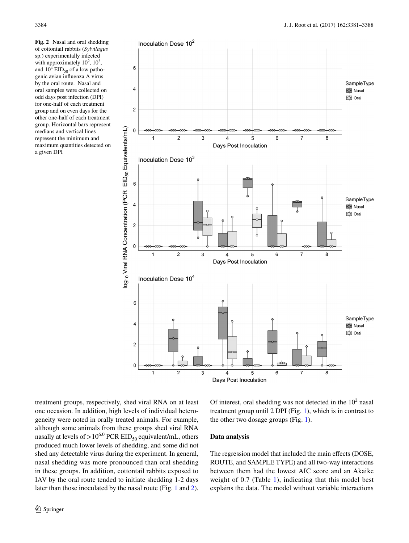<span id="page-4-0"></span>**Fig. 2** Nasal and oral shedding of cottontail rabbits (*Sylvilagus* sp.) experimentally infected with approximately  $10^2$ ,  $10^3$ , and  $10^4$  EID<sub>50</sub> of a low pathogenic avian infuenza A virus by the oral route. Nasal and oral samples were collected on odd days post infection (DPI) for one-half of each treatment group and on even days for the other one-half of each treatment group. Horizontal bars represent medians and vertical lines represent the minimum and maximum quantities detected on a given DPI



treatment groups, respectively, shed viral RNA on at least one occasion. In addition, high levels of individual heterogeneity were noted in orally treated animals. For example, although some animals from these groups shed viral RNA nasally at levels of  $>10^{6.0}$  PCR EID<sub>50</sub> equivalent/mL, others produced much lower levels of shedding, and some did not shed any detectable virus during the experiment. In general, nasal shedding was more pronounced than oral shedding in these groups. In addition, cottontail rabbits exposed to IAV by the oral route tended to initiate shedding 1-2 days later than those inoculated by the nasal route (Fig. [1](#page-3-0) and [2](#page-4-0)).

Of interest, oral shedding was not detected in the  $10<sup>2</sup>$  nasal treatment group until 2 DPI (Fig. [1](#page-3-0)), which is in contrast to the other two dosage groups (Fig. [1\)](#page-3-0).

## **Data analysis**

The regression model that included the main effects (DOSE, ROUTE, and SAMPLE TYPE) and all two-way interactions between them had the lowest AIC score and an Akaike weight of 0.7 (Table [1](#page-5-0)), indicating that this model best explains the data. The model without variable interactions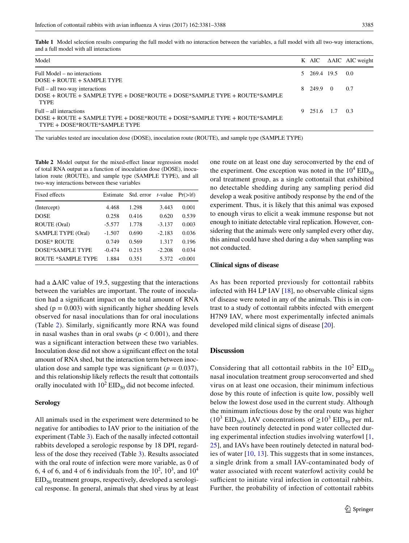| Model                                                                                                                                   |  |                  | $K$ AIC $\triangle$ AIC AIC weight |
|-----------------------------------------------------------------------------------------------------------------------------------------|--|------------------|------------------------------------|
| Full Model – no interactions<br>$DOSE + ROUTE + SAMPLE TYPE$                                                                            |  | 5 269.4 19.5 0.0 |                                    |
| Full – all two-way interactions<br>DOSE + ROUTE + SAMPLE TYPE + DOSE*ROUTE + DOSE*SAMPLE TYPE + ROUTE*SAMPLE<br>TYPE                    |  | 8 249.9 0 0.7    |                                    |
| $Full - all interactions$<br>DOSE + ROUTE + SAMPLE TYPE + DOSE*ROUTE + DOSE*SAMPLE TYPE + ROUTE*SAMPLE<br>TYPE + DOSE*ROUTE*SAMPLE TYPE |  | 9 251.6 1.7 0.3  |                                    |

<span id="page-5-0"></span>**Table 1** Model selection results comparing the full model with no interaction between the variables, a full model with all two-way interactions, and a full model with all interactions

The variables tested are inoculation dose (DOSE), inoculation route (ROUTE), and sample type (SAMPLE TYPE)

<span id="page-5-1"></span>**Table 2** Model output for the mixed-efect linear regression model of total RNA output as a function of inoculation dose (DOSE), inoculation route (ROUTE), and sample type (SAMPLE TYPE), and all two-way interactions between these variables

| Fixed effects             | Estimate | Std. error $t$ -value |          | $Pr(>\vert t \vert)$ |
|---------------------------|----------|-----------------------|----------|----------------------|
| (Intercept)               | 4.468    | 1.298                 | 3.443    | 0.001                |
| <b>DOSE</b>               | 0.258    | 0.416                 | 0.620    | 0.539                |
| ROUTE (Oral)              | $-5.577$ | 1.778                 | $-3.137$ | 0.003                |
| <b>SAMPLE TYPE (Oral)</b> | $-1.507$ | 0.690                 | $-2.183$ | 0.036                |
| DOSE* ROUTE               | 0.749    | 0.569                 | 1.317    | 0.196                |
| DOSE*SAMPLE TYPE          | $-0.474$ | 0.215                 | $-2.208$ | 0.034                |
| <b>ROUTE *SAMPLE TYPE</b> | 1.884    | 0.351                 | 5.372    | < 0.001              |

had a  $\Delta AIC$  value of 19.5, suggesting that the interactions between the variables are important. The route of inoculation had a signifcant impact on the total amount of RNA shed ( $p = 0.003$ ) with significantly higher shedding levels observed for nasal inoculations than for oral inoculations (Table [2\)](#page-5-1). Similarly, signifcantly more RNA was found in nasal washes than in oral swabs ( $p < 0.001$ ), and there was a signifcant interaction between these two variables. Inoculation dose did not show a signifcant efect on the total amount of RNA shed, but the interaction term between inoculation dose and sample type was significant ( $p = 0.037$ ), and this relationship likely refects the result that cottontails orally inoculated with  $10^2$  EID<sub>50</sub> did not become infected.

## **Serology**

All animals used in the experiment were determined to be negative for antibodies to IAV prior to the initiation of the experiment (Table [3](#page-6-0)). Each of the nasally infected cottontail rabbits developed a serologic response by 18 DPI, regardless of the dose they received (Table [3\)](#page-6-0). Results associated with the oral route of infection were more variable, as 0 of 6, 4 of 6, and 4 of 6 individuals from the  $10^2$ ,  $10^3$ , and  $10^4$  $EID_{50}$  treatment groups, respectively, developed a serological response. In general, animals that shed virus by at least one route on at least one day seroconverted by the end of the experiment. One exception was noted in the  $10^4$  EID<sub>50</sub> oral treatment group, as a single cottontail that exhibited no detectable shedding during any sampling period did develop a weak positive antibody response by the end of the experiment. Thus, it is likely that this animal was exposed to enough virus to elicit a weak immune response but not enough to initiate detectable viral replication. However, considering that the animals were only sampled every other day, this animal could have shed during a day when sampling was not conducted.

## **Clinical signs of disease**

As has been reported previously for cottontail rabbits infected with H4 LP IAV [[18\]](#page-8-0), no observable clinical signs of disease were noted in any of the animals. This is in contrast to a study of cottontail rabbits infected with emergent H7N9 IAV, where most experimentally infected animals developed mild clinical signs of disease [[20](#page-8-5)].

## **Discussion**

Considering that all cottontail rabbits in the  $10^2$  EID<sub>50</sub> nasal inoculation treatment group seroconverted and shed virus on at least one occasion, their minimum infectious dose by this route of infection is quite low, possibly well below the lowest dose used in the current study. Although the minimum infectious dose by the oral route was higher (10<sup>3</sup> EID<sub>50</sub>), IAV concentrations of  $\geq 10^3$  EID<sub>50</sub> per mL have been routinely detected in pond water collected during experimental infection studies involving waterfowl [[1,](#page-7-10) [25](#page-8-11)], and IAVs have been routinely detected in natural bodies of water [\[10,](#page-7-11) [13](#page-7-12)]. This suggests that in some instances, a single drink from a small IAV-contaminated body of water associated with recent waterfowl activity could be sufficient to initiate viral infection in cottontail rabbits. Further, the probability of infection of cottontail rabbits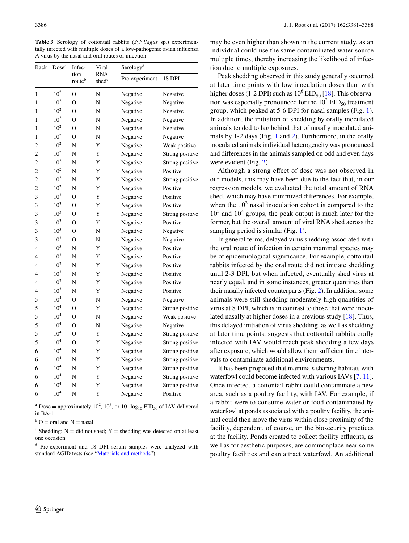<span id="page-6-0"></span>**Table 3** Serology of cottontail rabbits (*Sylvilagus* sp.) experimentally infected with multiple doses of a low-pathogenic avian infuenza A virus by the nasal and oral routes of infection

| Rack                     | $Dose^a$        | Infec-         | Viral                    | Serology <sup>d</sup> |                 |  |
|--------------------------|-----------------|----------------|--------------------------|-----------------------|-----------------|--|
|                          |                 | tion<br>routeb | RNA<br>shed <sup>c</sup> | Pre-experiment        | 18 DPI          |  |
| 1                        | $10^2$          | $\Omega$       | N                        | Negative              | Negative        |  |
| 1                        | 10 <sup>2</sup> | O              | N                        | Negative              | Negative        |  |
| 1                        | $10^{2}$        | $\circ$        | N                        | Negative              | Negative        |  |
| 1                        | 10 <sup>2</sup> | $\Omega$       | N                        | Negative              | Negative        |  |
| 1                        | $10^2$          | $\Omega$       | N                        | Negative              | Negative        |  |
| 1                        | $10^{2}$        | $\circ$        | N                        | Negative              | Negative        |  |
| 2                        | 10 <sup>2</sup> | N              | Y                        | Negative              | Weak positive   |  |
| 2                        | 10 <sup>2</sup> | N              | Y                        | Negative              | Strong positive |  |
| $\overline{c}$           | $10^{2}$        | N              | Y                        | Negative              | Strong positive |  |
| $\overline{c}$           | 10 <sup>2</sup> | N              | Y                        | Negative              | Positive        |  |
| 2                        | 10 <sup>2</sup> | N              | Y                        | Negative              | Strong positive |  |
| $\overline{2}$           | 10 <sup>2</sup> | N              | Y                        | Negative              | Positive        |  |
| 3                        | 10 <sup>3</sup> | $\circ$        | Y                        | Negative              | Positive        |  |
| 3                        | $10^{3}$        | $\circ$        | Y                        | Negative              | Positive        |  |
| 3                        | $10^3$          | $\Omega$       | Y                        | Negative              | Strong positive |  |
| 3                        | $10^{3}$        | $\overline{O}$ | Y                        | Negative              | Positive        |  |
| 3                        | $10^3$          | $\overline{O}$ | N                        | Negative              | Negative        |  |
| 3                        | $10^{3}$        | O              | N                        | Negative              | Negative        |  |
| 4                        | $10^{3}$        | N              | Y                        | Negative              | Positive        |  |
| 4                        | 10 <sup>3</sup> | N              | Y                        | Negative              | Positive        |  |
| 4                        | 10 <sup>3</sup> | N              | Y                        | Negative              | Positive        |  |
| 4                        | 10 <sup>3</sup> | N              | Y                        | Negative              | Positive        |  |
| 4                        | 10 <sup>3</sup> | N              | Y                        | Negative              | Positive        |  |
| $\overline{\mathcal{L}}$ | 10 <sup>3</sup> | N              | Y                        | Negative              | Positive        |  |
| 5                        | 10 <sup>4</sup> | O              | N                        | Negative              | Negative        |  |
| 5                        | 10 <sup>4</sup> | $\overline{O}$ | Y                        | Negative              | Strong positive |  |
| 5                        | $10^{4}$        | O              | N                        | Negative              | Weak positive   |  |
| 5                        | 10 <sup>4</sup> | $\circ$        | N                        | Negative              | Negative        |  |
| 5                        | 10 <sup>4</sup> | $\circ$        | Y                        | Negative              | Strong positive |  |
| 5                        | 10 <sup>4</sup> | $\circ$        | Y                        | Negative              | Strong positive |  |
| 6                        | $10^4$          | N              | Y                        | Negative              | Strong positive |  |
| 6                        | 10 <sup>4</sup> | N              | Y                        | Negative              | Strong positive |  |
| 6                        | $10^{4}$        | N              | Y                        | Negative              | Strong positive |  |
| 6                        | $10^{4}$        | N              | Y                        | Negative              | Strong positive |  |
| 6                        | 10 <sup>4</sup> | N              | Y                        | Negative              | Strong positive |  |
| 6                        | 10 <sup>4</sup> | N              | Y                        | Negative              | Positive        |  |

<sup>a</sup> Dose = approximately  $10^2$ ,  $10^3$ , or  $10^4 \log_{10} EID_{50}$  of IAV delivered in BA-1

 $b$  O = oral and N = nasal

 $c$  Shedding: N = did not shed; Y = shedding was detected on at least one occasion

d Pre-experiment and 18 DPI serum samples were analyzed with standard AGID tests (see "[Materials and methods](#page-2-0)")

may be even higher than shown in the current study, as an individual could use the same contaminated water source multiple times, thereby increasing the likelihood of infection due to multiple exposures.

Peak shedding observed in this study generally occurred at later time points with low inoculation doses than with higher doses (1-2 DPI) such as  $10^6$  EID<sub>50</sub> [[18\]](#page-8-0). This observation was especially pronounced for the  $10^2$  EID<sub>50</sub> treatment group, which peaked at 5-6 DPI for nasal samples (Fig. [1](#page-3-0)). In addition, the initiation of shedding by orally inoculated animals tended to lag behind that of nasally inoculated animals by 1-2 days (Fig. [1](#page-3-0) and [2](#page-4-0)). Furthermore, in the orally inoculated animals individual heterogeneity was pronounced and diferences in the animals sampled on odd and even days were evident (Fig. [2\)](#page-4-0).

Although a strong efect of dose was not observed in our models, this may have been due to the fact that, in our regression models, we evaluated the total amount of RNA shed, which may have minimized diferences. For example, when the  $10<sup>2</sup>$  nasal inoculation cohort is compared to the  $10<sup>3</sup>$  and  $10<sup>4</sup>$  groups, the peak output is much later for the former, but the overall amount of viral RNA shed across the sampling period is similar (Fig. [1\)](#page-3-0).

In general terms, delayed virus shedding associated with the oral route of infection in certain mammal species may be of epidemiological signifcance. For example, cottontail rabbits infected by the oral route did not initiate shedding until 2-3 DPI, but when infected, eventually shed virus at nearly equal, and in some instances, greater quantities than their nasally infected counterparts (Fig. [2\)](#page-4-0). In addition, some animals were still shedding moderately high quantities of virus at 8 DPI, which is in contrast to those that were inoculated nasally at higher doses in a previous study [\[18](#page-8-0)]. Thus, this delayed initiation of virus shedding, as well as shedding at later time points, suggests that cottontail rabbits orally infected with IAV would reach peak shedding a few days after exposure, which would allow them sufficient time intervals to contaminate additional environments.

It has been proposed that mammals sharing habitats with waterfowl could become infected with various IAVs [[7,](#page-7-13) [11](#page-7-14)]. Once infected, a cottontail rabbit could contaminate a new area, such as a poultry facility, with IAV. For example, if a rabbit were to consume water or food contaminated by waterfowl at ponds associated with a poultry facility, the animal could then move the virus within close proximity of the facility, dependent, of course, on the biosecurity practices at the facility. Ponds created to collect facility effluents, as well as for aesthetic purposes, are commonplace near some poultry facilities and can attract waterfowl. An additional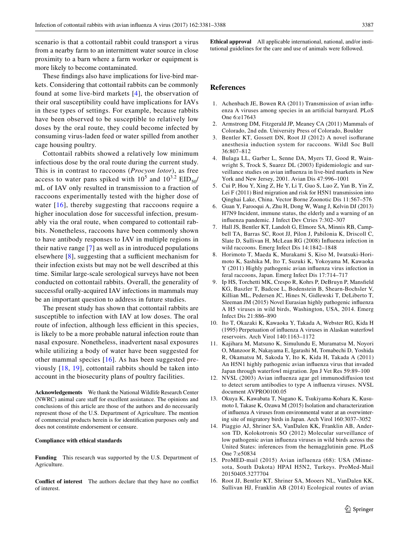scenario is that a cottontail rabbit could transport a virus from a nearby farm to an intermittent water source in close proximity to a barn where a farm worker or equipment is more likely to become contaminated.

These fndings also have implications for live-bird markets. Considering that cottontail rabbits can be commonly found at some live-bird markets [[4](#page-7-2)], the observation of their oral susceptibility could have implications for IAVs in these types of settings. For example, because rabbits have been observed to be susceptible to relatively low doses by the oral route, they could become infected by consuming virus-laden feed or water spilled from another cage housing poultry.

Cottontail rabbits showed a relatively low minimum infectious dose by the oral route during the current study. This is in contrast to raccoons (*Procyon lotor*), as free access to water pans spiked with  $10^5$  and  $10^{3.2}$   $EID_{50}$ / mL of IAV only resulted in transmission to a fraction of raccoons experimentally tested with the higher dose of water [[16\]](#page-7-7), thereby suggesting that raccoons require a higher inoculation dose for successful infection, presumably via the oral route, when compared to cottontail rabbits. Nonetheless, raccoons have been commonly shown to have antibody responses to IAV in multiple regions in their native range [\[7\]](#page-7-13) as well as in introduced populations elsewhere  $[8]$  $[8]$  $[8]$ , suggesting that a sufficient mechanism for their infection exists but may not be well described at this time. Similar large-scale serological surveys have not been conducted on cottontail rabbits. Overall, the generality of successful orally-acquired IAV infections in mammals may be an important question to address in future studies.

The present study has shown that cottontail rabbits are susceptible to infection with IAV at low doses. The oral route of infection, although less efficient in this species, is likely to be a more probable natural infection route than nasal exposure. Nonetheless, inadvertent nasal exposures while utilizing a body of water have been suggested for other mammal species [[16](#page-7-7)]. As has been suggested previously [[18,](#page-8-0) [19](#page-8-4)], cottontail rabbits should be taken into account in the biosecurity plans of poultry facilities.

**Acknowledgements** We thank the National Wildlife Research Center (NWRC) animal care staff for excellent assistance. The opinions and conclusions of this article are those of the authors and do necessarily represent those of the U.S. Department of Agriculture. The mention of commercial products herein is for identifcation purposes only and does not constitute endorsement or censure.

#### **Compliance with ethical standards**

**Funding** This research was supported by the U.S. Department of Agriculture.

**Confict of interest** The authors declare that they have no confict of interest.

**Ethical approval** All applicable international, national, and/or institutional guidelines for the care and use of animals were followed.

#### **References**

- <span id="page-7-10"></span>1. Achenbach JE, Bowen RA (2011) Transmission of avian infuenza A viruses among species in an artifcial barnyard. PLoS One 6:e17643
- <span id="page-7-5"></span>2. Armstrong DM, Fitzgerald JP, Meaney CA (2011) Mammals of Colorado, 2nd edn. University Press of Colorado, Boulder
- <span id="page-7-8"></span>3. Bentler KT, Gossett DN, Root JJ (2012) A novel isofurane anesthesia induction system for raccoons. Wildl Soc Bull 36:807–812
- <span id="page-7-2"></span>4. Bulaga LL, Garber L, Senne DA, Myers TJ, Good R, Wainwright S, Trock S, Suarez DL (2003) Epidemiologic and surveillance studies on avian infuenza in live-bird markets in New York and New Jersey, 2001. Avian Dis 47:996–1001
- <span id="page-7-0"></span>5. Cui P, Hou Y, Xing Z, He Y, Li T, Guo S, Luo Z, Yan B, Yin Z, Lei F (2011) Bird migration and risk for H5N1 transmission into Qinghai Lake, China. Vector Borne Zoonotic Dis 11:567–576
- <span id="page-7-1"></span>6. Guan Y, Farooqui A, Zhu H, Dong W, Wang J, Kelvin DJ (2013) H7N9 Incident, immune status, the elderly and a warning of an infuenza pandemic. J Infect Dev Ctries 7:302–307
- <span id="page-7-13"></span>7. Hall JS, Bentler KT, Landolt G, Elmore SA, Minnis RB, Campbell TA, Barras SC, Root JJ, Pilon J, Pabilonia K, Driscoll C, Slate D, Sullivan H, McLean RG (2008) Infuenza infection in wild raccoons. Emerg Infect Dis 14:1842–1848
- <span id="page-7-15"></span>8. Horimoto T, Maeda K, Murakami S, Kiso M, Iwatsuki-Horimoto K, Sashika M, Ito T, Suzuki K, Yokoyama M, Kawaoka Y (2011) Highly pathogenic avian infuenza virus infection in feral raccoons, Japan. Emerg Infect Dis 17:714–717
- <span id="page-7-3"></span>9. Ip HS, Torchetti MK, Crespo R, Kohrs P, DeBruyn P, Mansfeld KG, Baszler T, Badcoe L, Bodenstein B, Shearn-Bochsler V, Killian ML, Pedersen JC, Hines N, Gidlewski T, DeLiberto T, Sleeman JM (2015) Novel Eurasian highly pathogenic infuenza A H5 viruses in wild birds, Washington, USA, 2014. Emerg Infect Dis 21:886–890
- <span id="page-7-11"></span>10. Ito T, Okazaki K, Kawaoka Y, Takada A, Webster RG, Kida H (1995) Perpetuation of infuenza A viruses in Alaskan waterfowl reservoirs. Arch Virol 140:1163–1172
- <span id="page-7-14"></span>11. Kajihara M, Matsuno K, Simulundu E, Muramatsu M, Noyori O, Manzoor R, Nakayama E, Igarashi M, Tomabechi D, Yoshida R, Okamatsu M, Sakoda Y, Ito K, Kida H, Takada A (2011) An H5N1 highly pathogenic avian infuenza virus that invaded Japan through waterfowl migration. Jpn J Vet Res 59:89–100
- <span id="page-7-9"></span>12. NVSL (2003) Avian infuenza agar gel immunodifusion test to detect serum antibodies to type A infuenza viruses. NVSL document AVPRO0100.05
- <span id="page-7-12"></span>13. Okuya K, Kawabata T, Nagano K, Tsukiyama-Kohara K, Kusumoto I, Takase K, Ozawa M (2015) Isolation and characterization of infuenza A viruses from environmental water at an overwintering site of migratory birds in Japan. Arch Virol 160:3037–3052
- <span id="page-7-6"></span>14. Piaggio AJ, Shriner SA, VanDalen KK, Franklin AB, Anderson TD, Kolokotronis SO (2012) Molecular surveillance of low pathogenic avian infuenza viruses in wild birds across the United States: inferences from the hemagglutinin gene. PLoS One 7:e50834
- <span id="page-7-4"></span>15. ProMED-mail (2015) Avian influenza (68): USA (Minnesota, South Dakota) HPAI H5N2, Turkeys. ProMed-Mail 20150405.3277704
- <span id="page-7-7"></span>16. Root JJ, Bentler KT, Shriner SA, Mooers NL, VanDalen KK, Sullivan HJ, Franklin AB (2014) Ecological routes of avian